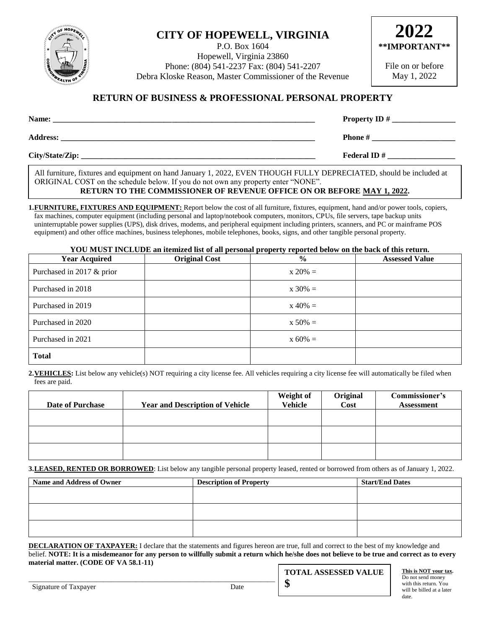

# **CITY OF HOPEWELL, VIRGINIA**

P.O. Box 1604 Hopewell, Virginia 23860 Phone: (804) 541-2237 Fax: (804) 541-2207 Debra Kloske Reason, Master Commissioner of the Revenue



File on or before May 1, 2022

### **RETURN OF BUSINESS & PROFESSIONAL PERSONAL PROPERTY**

| Name:           | <b>Property ID</b> #  |  |
|-----------------|-----------------------|--|
| <b>Address:</b> | <b>Phone</b> #        |  |
| City/State/Zip: | <b>Federal ID</b> $#$ |  |

All furniture, fixtures and equipment on hand January 1, 2022, EVEN THOUGH FULLY DEPRECIATED, should be included at ORIGINAL COST on the schedule below. If you do not own any property enter "NONE".

## **RETURN TO THE COMMISSIONER OF REVENUE OFFICE ON OR BEFORE MAY 1, 2022.**

**1.FURNITURE, FIXTURES AND EQUIPMENT:** Report below the cost of all furniture, fixtures, equipment, hand and/or power tools, copiers, fax machines, computer equipment (including personal and laptop/notebook computers, monitors, CPUs, file servers, tape backup units uninterruptable power supplies (UPS), disk drives, modems, and peripheral equipment including printers, scanners, and PC or mainframe POS equipment) and other office machines, business telephones, mobile telephones, books, signs, and other tangible personal property.

#### **YOU MUST INCLUDE an itemized list of all personal property reported below on the back of this return.**

| <b>Year Acquired</b>      | <b>Original Cost</b> | $\frac{0}{0}$ | <b>Assessed Value</b> |
|---------------------------|----------------------|---------------|-----------------------|
| Purchased in 2017 & prior |                      | $x 20\% =$    |                       |
| Purchased in 2018         |                      | $x 30\% =$    |                       |
| Purchased in 2019         |                      | $x\ 40\% =$   |                       |
| Purchased in 2020         |                      | $x 50\% =$    |                       |
| Purchased in 2021         |                      | $x 60\% =$    |                       |
| <b>Total</b>              |                      |               |                       |

**2.VEHICLES:** List below any vehicle(s) NOT requiring a city license fee. All vehicles requiring a city license fee will automatically be filed when fees are paid.

| <b>Date of Purchase</b> | <b>Year and Description of Vehicle</b> | <b>Weight of</b><br><b>Vehicle</b> | Original<br>Cost | Commissioner's<br><b>Assessment</b> |
|-------------------------|----------------------------------------|------------------------------------|------------------|-------------------------------------|
|                         |                                        |                                    |                  |                                     |
|                         |                                        |                                    |                  |                                     |
|                         |                                        |                                    |                  |                                     |

**3.LEASED, RENTED OR BORROWED**: List below any tangible personal property leased, rented or borrowed from others as of January 1, 2022.

| Name and Address of Owner | <b>Description of Property</b> | <b>Start/End Dates</b> |
|---------------------------|--------------------------------|------------------------|
|                           |                                |                        |
|                           |                                |                        |
|                           |                                |                        |
|                           |                                |                        |
|                           |                                |                        |
|                           |                                |                        |

**DECLARATION OF TAXPAYER:** I declare that the statements and figures hereon are true, full and correct to the best of my knowledge and belief. **NOTE: It is a misdemeanor for any person to willfully submit a return which he/she does not believe to be true and correct as to every material matter. (CODE OF VA 58.1-11)**

**\$**

\_\_\_\_\_\_\_\_\_\_\_\_\_\_\_\_\_\_\_\_\_\_\_\_\_\_\_\_\_\_\_\_\_\_\_\_\_\_\_\_\_\_\_\_\_\_\_\_\_\_\_\_\_\_\_\_\_\_\_\_\_\_\_\_\_\_\_\_\_

**TOTAL ASSESSED VALUE**